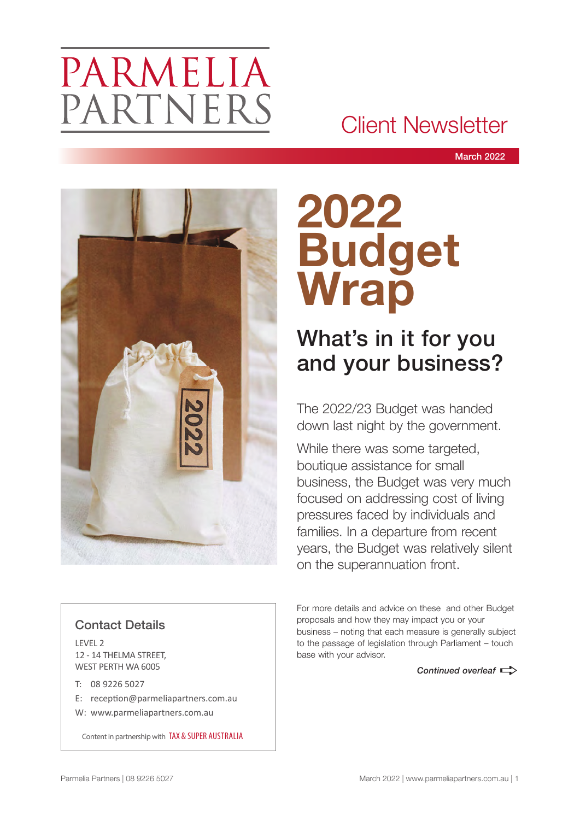# PARMELIA PARTNERS

## Client Newsletter

March 2022



# **2022 Budget Wrap**

## What's in it for you and your business?

The 2022/23 Budget was handed down last night by the government.

While there was some targeted, boutique assistance for small business, the Budget was very much focused on addressing cost of living pressures faced by individuals and families. In a departure from recent years, the Budget was relatively silent on the superannuation front.

#### For more details and advice on these and other Budget proposals and how they may impact you or your business – noting that each measure is generally subject to the passage of legislation through Parliament – touch base with your advisor.

**Continued overleaf**  $\Rightarrow$ 

### Contact Details

LEVEL 2 12 - 14 THELMA STREET, WEST PERTH WA 6005

- T: 08 9226 5027
- E: reception@parmeliapartners.com.au
- W: www.parmeliapartners.com.au

Content in partnership with TAX & SUPER AUSTRALIA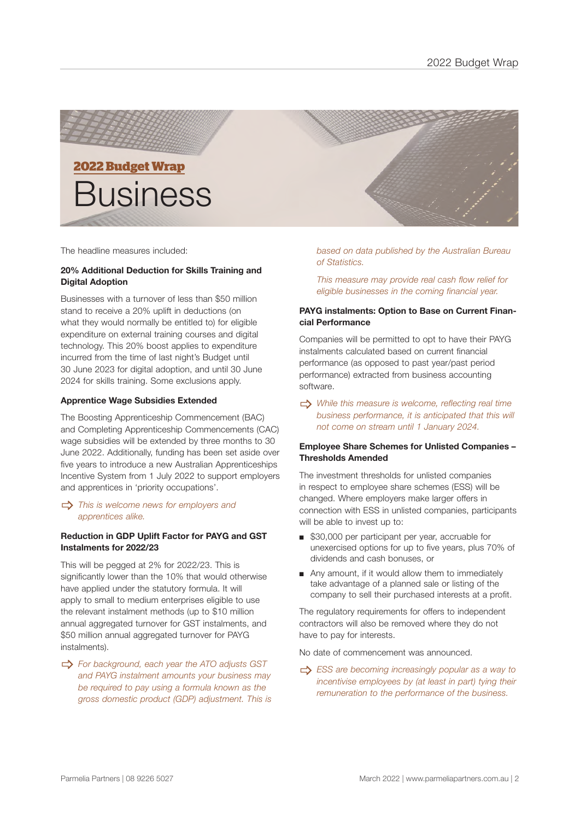

# **2022 Budget Wrap Business**

The headline measures included:

#### **20% Additional Deduction for Skills Training and Digital Adoption**

Businesses with a turnover of less than \$50 million stand to receive a 20% uplift in deductions (on what they would normally be entitled to) for eligible expenditure on external training courses and digital technology. This 20% boost applies to expenditure incurred from the time of last night's Budget until 30 June 2023 for digital adoption, and until 30 June 2024 for skills training. Some exclusions apply.

#### **Apprentice Wage Subsidies Extended**

The Boosting Apprenticeship Commencement (BAC) and Completing Apprenticeship Commencements (CAC) wage subsidies will be extended by three months to 30 June 2022. Additionally, funding has been set aside over five years to introduce a new Australian Apprenticeships Incentive System from 1 July 2022 to support employers and apprentices in 'priority occupations'.

#### $\Rightarrow$  This is welcome news for employers and *apprentices alike.*

#### **Reduction in GDP Uplift Factor for PAYG and GST Instalments for 2022/23**

This will be pegged at 2% for 2022/23. This is significantly lower than the 10% that would otherwise have applied under the statutory formula. It will apply to small to medium enterprises eligible to use the relevant instalment methods (up to \$10 million annual aggregated turnover for GST instalments, and \$50 million annual aggregated turnover for PAYG instalments).

 $\Rightarrow$  For background, each year the ATO adjusts GST *and PAYG instalment amounts your business may be required to pay using a formula known as the gross domestic product (GDP) adjustment. This is*  *based on data published by the Australian Bureau of Statistics.*

*This measure may provide real cash flow relief for eligible businesses in the coming financial year.* 

#### **PAYG instalments: Option to Base on Current Financial Performance**

Companies will be permitted to opt to have their PAYG instalments calculated based on current financial performance (as opposed to past year/past period performance) extracted from business accounting software.

\_ *While this measure is welcome, reflecting real time business performance, it is anticipated that this will not come on stream until 1 January 2024.* 

#### **Employee Share Schemes for Unlisted Companies – Thresholds Amended**

The investment thresholds for unlisted companies in respect to employee share schemes (ESS) will be changed. Where employers make larger offers in connection with ESS in unlisted companies, participants will be able to invest up to:

- \$30,000 per participant per year, accruable for unexercised options for up to five years, plus 70% of dividends and cash bonuses, or
- Any amount, if it would allow them to immediately take advantage of a planned sale or listing of the company to sell their purchased interests at a profit.

The regulatory requirements for offers to independent contractors will also be removed where they do not have to pay for interests.

No date of commencement was announced.

**ESS** are becoming increasingly popular as a way to *incentivise employees by (at least in part) tying their remuneration to the performance of the business.*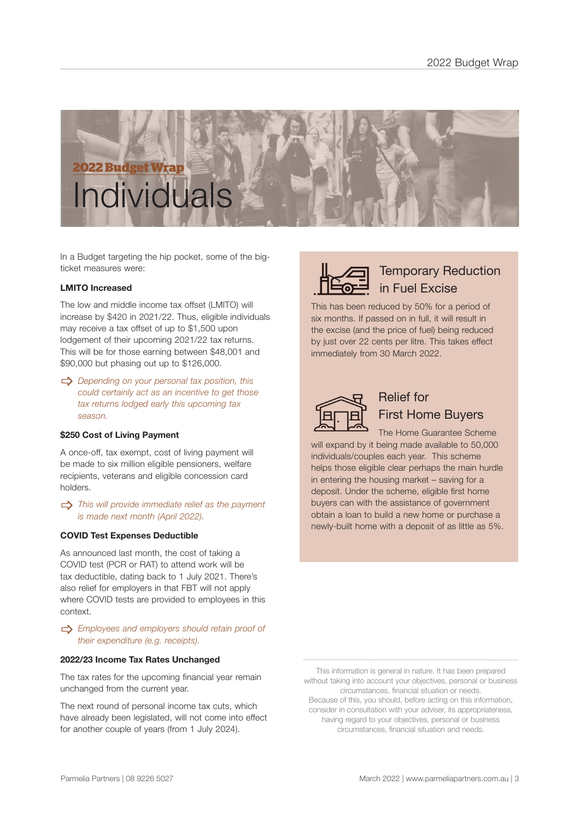

In a Budget targeting the hip pocket, some of the bigticket measures were:

#### **LMITO Increased**

The low and middle income tax offset (LMITO) will increase by \$420 in 2021/22. Thus, eligible individuals may receive a tax offset of up to \$1,500 upon lodgement of their upcoming 2021/22 tax returns. This will be for those earning between \$48,001 and \$90,000 but phasing out up to \$126,000.

 $\Rightarrow$  Depending on your personal tax position, this *could certainly act as an incentive to get those tax returns lodged early this upcoming tax season.* 

#### **\$250 Cost of Living Payment**

A once-off, tax exempt, cost of living payment will be made to six million eligible pensioners, welfare recipients, veterans and eligible concession card holders.

#### \_ *This will provide immediate relief as the payment is made next month (April 2022).*

#### **COVID Test Expenses Deductible**

As announced last month, the cost of taking a COVID test (PCR or RAT) to attend work will be tax deductible, dating back to 1 July 2021. There's also relief for employers in that FBT will not apply where COVID tests are provided to employees in this context.

#### $\Rightarrow$  *Employees and employers should retain proof of their expenditure (e.g. receipts).*

#### **2022/23 Income Tax Rates Unchanged**

The tax rates for the upcoming financial year remain unchanged from the current year.

The next round of personal income tax cuts, which have already been legislated, will not come into effect for another couple of years (from 1 July 2024).



### Temporary Reduction in Fuel Excise

This has been reduced by 50% for a period of six months. If passed on in full, it will result in the excise (and the price of fuel) being reduced by just over 22 cents per litre. This takes effect immediately from 30 March 2022.



## Relief for First Home Buyers

The Home Guarantee Scheme will expand by it being made available to 50,000 individuals/couples each year. This scheme helps those eligible clear perhaps the main hurdle in entering the housing market – saving for a deposit. Under the scheme, eligible first home buyers can with the assistance of government obtain a loan to build a new home or purchase a newly-built home with a deposit of as little as 5%.

This information is general in nature. It has been prepared without taking into account your objectives, personal or business circumstances, financial situation or needs. Because of this, you should, before acting on this information,

consider in consultation with your adviser, its appropriateness, having regard to your objectives, personal or business circumstances, financial situation and needs.